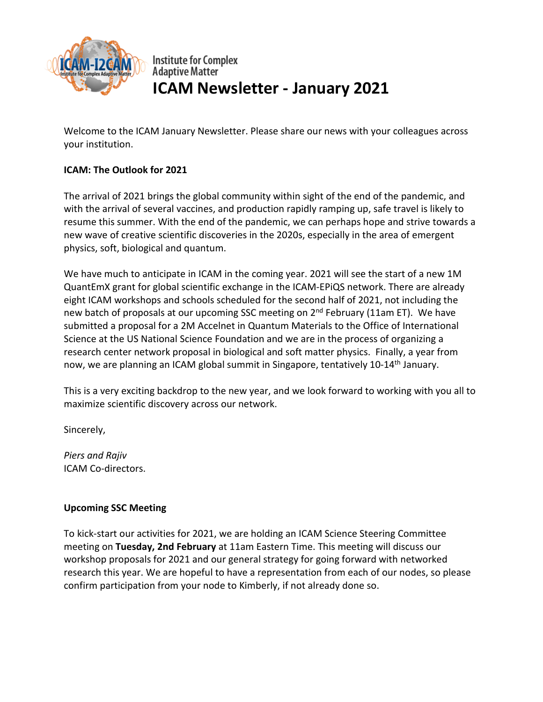

**Institute for Complex Adaptive Matter ICAM Newsletter - January 2021**

Welcome to the ICAM January Newsletter. Please share our news with your colleagues across your institution.

# **ICAM: The Outlook for 2021**

The arrival of 2021 brings the global community within sight of the end of the pandemic, and with the arrival of several vaccines, and production rapidly ramping up, safe travel is likely to resume this summer. With the end of the pandemic, we can perhaps hope and strive towards a new wave of creative scientific discoveries in the 2020s, especially in the area of emergent physics, soft, biological and quantum.

We have much to anticipate in ICAM in the coming year. 2021 will see the start of a new 1M QuantEmX grant for global scientific exchange in the ICAM-EPiQS network. There are already eight ICAM workshops and schools scheduled for the second half of 2021, not including the new batch of proposals at our upcoming SSC meeting on 2<sup>nd</sup> February (11am ET). We have submitted a proposal for a 2M Accelnet in Quantum Materials to the Office of International Science at the US National Science Foundation and we are in the process of organizing a research center network proposal in biological and soft matter physics. Finally, a year from now, we are planning an ICAM global summit in Singapore, tentatively 10-14<sup>th</sup> January.

This is a very exciting backdrop to the new year, and we look forward to working with you all to maximize scientific discovery across our network.

Sincerely,

*Piers and Rajiv* ICAM Co-directors.

## **Upcoming SSC Meeting**

To kick-start our activities for 2021, we are holding an ICAM Science Steering Committee meeting on **Tuesday, 2nd February** at 11am Eastern Time. This meeting will discuss our workshop proposals for 2021 and our general strategy for going forward with networked research this year. We are hopeful to have a representation from each of our nodes, so please confirm participation from your node to Kimberly, if not already done so.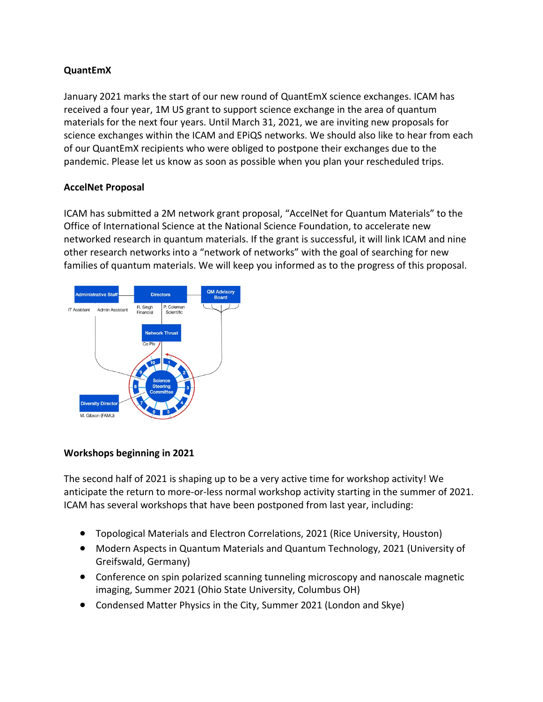## **QuantEmX**

January 2021 marks the start of our new round of QuantEmX science exchanges. ICAM has received a four year, 1M US grant to support science exchange in the area of quantum materials for the next four years. Until March 31, 2021, we are inviting new proposals for science exchanges within the ICAM and EPiQS networks. We should also like to hear from each of our QuantEmX recipients who were obliged to postpone their exchanges due to the pandemic. Please let us know as soon as possible when you plan your rescheduled trips.

## **AccelNet Proposal**

ICAM has submitted a 2M network grant proposal, "AccelNet for Quantum Materials" to the Office of International Science at the National Science Foundation, to accelerate new networked research in quantum materials. If the grant is successful, it will link ICAM and nine other research networks into a "network of networks" with the goal of searching for new families of quantum materials. We will keep you informed as to the progress of this proposal.



## **Workshops beginning in 2021**

The second half of 2021 is shaping up to be a very active time for workshop activity! We anticipate the return to more-or-less normal workshop activity starting in the summer of 2021. ICAM has several workshops that have been postponed from last year, including:

- Topological Materials and Electron Correlations, 2021 (Rice University, Houston)
- Modern Aspects in Quantum Materials and Quantum Technology, 2021 (University of Greifswald, Germany)
- Conference on spin polarized scanning tunneling microscopy and nanoscale magnetic imaging, Summer 2021 (Ohio State University, Columbus OH)
- Condensed Matter Physics in the City, Summer 2021 (London and Skye)